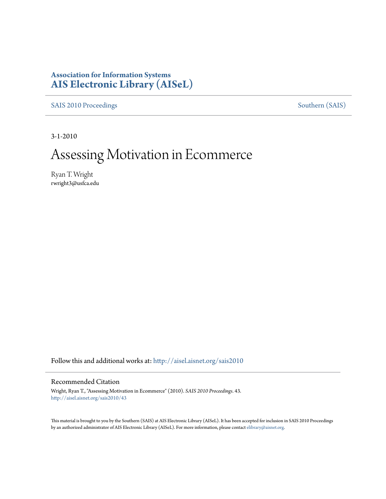### **Association for Information Systems [AIS Electronic Library \(AISeL\)](http://aisel.aisnet.org?utm_source=aisel.aisnet.org%2Fsais2010%2F43&utm_medium=PDF&utm_campaign=PDFCoverPages)**

[SAIS 2010 Proceedings](http://aisel.aisnet.org/sais2010?utm_source=aisel.aisnet.org%2Fsais2010%2F43&utm_medium=PDF&utm_campaign=PDFCoverPages) [Southern \(SAIS\)](http://aisel.aisnet.org/sais?utm_source=aisel.aisnet.org%2Fsais2010%2F43&utm_medium=PDF&utm_campaign=PDFCoverPages)

3-1-2010

# Assessing Motivation in Ecommerce

Ryan T. Wright rwright3@usfca.edu

Follow this and additional works at: [http://aisel.aisnet.org/sais2010](http://aisel.aisnet.org/sais2010?utm_source=aisel.aisnet.org%2Fsais2010%2F43&utm_medium=PDF&utm_campaign=PDFCoverPages)

#### Recommended Citation

Wright, Ryan T., "Assessing Motivation in Ecommerce" (2010). *SAIS 2010 Proceedings*. 43. [http://aisel.aisnet.org/sais2010/43](http://aisel.aisnet.org/sais2010/43?utm_source=aisel.aisnet.org%2Fsais2010%2F43&utm_medium=PDF&utm_campaign=PDFCoverPages)

This material is brought to you by the Southern (SAIS) at AIS Electronic Library (AISeL). It has been accepted for inclusion in SAIS 2010 Proceedings by an authorized administrator of AIS Electronic Library (AISeL). For more information, please contact [elibrary@aisnet.org](mailto:elibrary@aisnet.org%3E).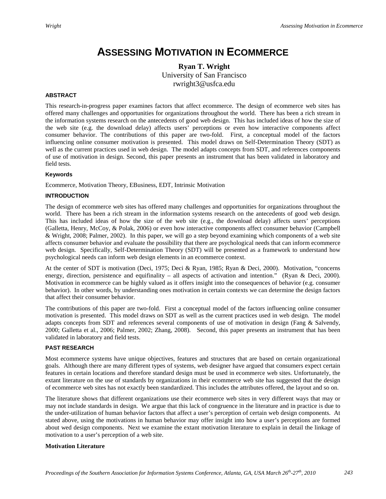## **ASSESSING MOTIVATION IN ECOMMERCE**

**Ryan T. Wright** University of San Francisco rwright3@usfca.edu

#### **ABSTRACT**

This research-in-progress paper examines factors that affect ecommerce. The design of ecommerce web sites has offered many challenges and opportunities for organizations throughout the world. There has been a rich stream in the information systems research on the antecedents of good web design. This has included ideas of how the size of the web site (e.g. the download delay) affects users' perceptions or even how interactive components affect consumer behavior. The contributions of this paper are two-fold. First, a conceptual model of the factors influencing online consumer motivation is presented. This model draws on Self-Determination Theory (SDT) as well as the current practices used in web design. The model adapts concepts from SDT, and references components of use of motivation in design. Second, this paper presents an instrument that has been validated in laboratory and field tests.

#### **Keywords**

Ecommerce, Motivation Theory, EBusiness, EDT, Intrinsic Motivation

#### **INTRODUCTION**

The design of ecommerce web sites has offered many challenges and opportunities for organizations throughout the world. There has been a rich stream in the information systems research on the antecedents of good web design. This has included ideas of how the size of the web site (e.g., the download delay) affects users' perceptions (Galletta, Henry, McCoy, & Polak, 2006) or even how interactive components affect consumer behavior (Campbell & Wright, 2008; Palmer, 2002). In this paper, we will go a step beyond examining which components of a web site affects consumer behavior and evaluate the possibility that there are psychological needs that can inform ecommerce web design. Specifically, Self-Determination Theory (SDT) will be presented as a framework to understand how psychological needs can inform web design elements in an ecommerce context.

At the center of SDT is motivation (Deci, 1975; Deci & Ryan, 1985; Ryan & Deci, 2000). Motivation, "concerns energy, direction, persistence and equifinality – all aspects of activation and intention." (Ryan & Deci, 2000). Motivation in ecommerce can be highly valued as it offers insight into the consequences of behavior (e.g. consumer behavior). In other words, by understanding ones motivation in certain contexts we can determine the design factors that affect their consumer behavior.

The contributions of this paper are two-fold. First a conceptual model of the factors influencing online consumer motivation is presented. This model draws on SDT as well as the current practices used in web design. The model adapts concepts from SDT and references several components of use of motivation in design (Fang & Salvendy, 2000; Galletta et al., 2006; Palmer, 2002; Zhang, 2008). Second, this paper presents an instrument that has been validated in laboratory and field tests.

#### **PAST RESEARCH**

Most ecommerce systems have unique objectives, features and structures that are based on certain organizational goals. Although there are many different types of systems, web designer have argued that consumers expect certain features in certain locations and therefore standard design must be used in ecommerce web sites. Unfortunately, the extant literature on the use of standards by organizations in their ecommerce web site has suggested that the design of ecommerce web sites has not exactly been standardized. This includes the attributes offered, the layout and so on.

The literature shows that different organizations use their ecommerce web sites in very different ways that may or may not include standards in design. We argue that this lack of congruence in the literature and in practice is due to the under-utilization of human behavior factors that affect a user's perception of certain web design components. At stated above, using the motivations in human behavior may offer insight into how a user's perceptions are formed about wed design components. Next we examine the extant motivation literature to explain in detail the linkage of motivation to a user's perception of a web site.

#### **Motivation Literature**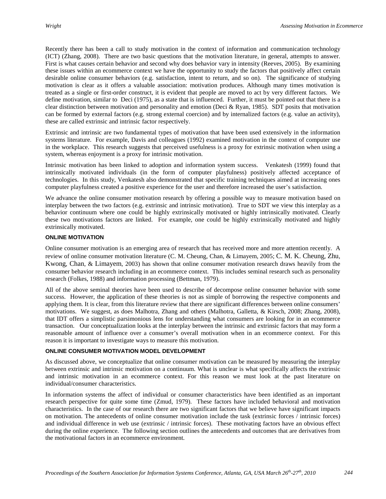Recently there has been a call to study motivation in the context of information and communication technology (ICT) (Zhang, 2008). There are two basic questions that the motivation literature, in general, attempts to answer. First is what causes certain behavior and second why does behavior vary in intensity (Reeves, 2005). By examining these issues within an ecommerce context we have the opportunity to study the factors that positively affect certain desirable online consumer behaviors (e.g. satisfaction, intent to return, and so on). The significance of studying motivation is clear as it offers a valuable association: motivation produces. Although many times motivation is treated as a single or first-order construct, it is evident that people are moved to act by very different factors. We define motivation, similar to Deci (1975), as a state that is influenced. Further, it must be pointed out that there is a clear distinction between motivation and personality and emotion (Deci & Ryan, 1985). SDT posits that motivation can be formed by external factors (e.g. strong external coercion) and by internalized factors (e.g. value an activity), these are called extrinsic and intrinsic factor respectively.

Extrinsic and intrinsic are two fundamental types of motivation that have been used extensively in the information systems literature. For example, Davis and colleagues (1992) examined motivation in the context of computer use in the workplace. This research suggests that perceived usefulness is a proxy for extrinsic motivation when using a system, whereas enjoyment is a proxy for intrinsic motivation.

Intrinsic motivation has been linked to adoption and information system success. Venkatesh (1999) found that intrinsically motivated individuals (in the form of computer playfulness) positively affected acceptance of technologies. In this study, Venkatesh also demonstrated that specific training techniques aimed at increasing ones computer playfulness created a positive experience for the user and therefore increased the user's satisfaction.

We advance the online consumer motivation research by offering a possible way to measure motivation based on interplay between the two factors (e.g. extrinsic and intrinsic motivation). True to SDT we view this interplay as a behavior continuum where one could be highly extrinsically motivated or highly intrinsically motivated. Clearly these two motivations factors are linked. For example, one could be highly extrinsically motivated and highly extrinsically motivated.

#### **ONLINE MOTIVATION**

Online consumer motivation is an emerging area of research that has received more and more attention recently. A review of online consumer motivation literature (C. M. Cheung, Chan, & Limayem, 2005; C. M. K. Cheung, Zhu, Kwong, Chan, & Limayem, 2003) has shown that online consumer motivation research draws heavily from the consumer behavior research including in an ecommerce context. This includes seminal research such as personality research (Folkes, 1988) and information processing (Bettman, 1979).

All of the above seminal theories have been used to describe of decompose online consumer behavior with some success. However, the application of these theories is not as simple of borrowing the respective components and applying them. It is clear, from this literature review that there are significant differences between online consumers' motivations. We suggest, as does Malhotra, Zhang and others (Malhotra, Galletta, & Kirsch, 2008; Zhang, 2008), that IDT offers a simplistic parsimonious lens for understanding what consumers are looking for in an ecommerce transaction. Our conceptualization looks at the interplay between the intrinsic and extrinsic factors that may form a reasonable amount of influence over a consumer's overall motivation when in an ecommerce context. For this reason it is important to investigate ways to measure this motivation.

#### **ONLINE CONSUMER MOTIVATION MODEL DEVELOPMENT**

As discussed above, we conceptualize that online consumer motivation can be measured by measuring the interplay between extrinsic and intrinsic motivation on a continuum. What is unclear is what specifically affects the extrinsic and intrinsic motivation in an ecommerce context. For this reason we must look at the past literature on individual/consumer characteristics.

In information systems the affect of individual or consumer characteristics have been identified as an important research perspective for quite some time (Zmud, 1979). These factors have included behavioral and motivation characteristics. In the case of our research there are two significant factors that we believe have significant impacts on motivation. The antecedents of online consumer motivation include the task (extrinsic forces / intrinsic forces) and individual difference in web use (extrinsic / intrinsic forces). These motivating factors have an obvious effect during the online experience. The following section outlines the antecedents and outcomes that are derivatives from the motivational factors in an ecommerce environment.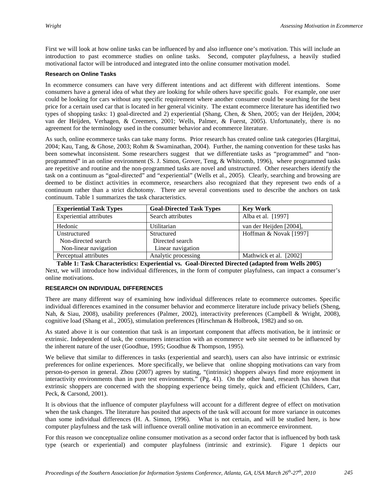First we will look at how online tasks can be influenced by and also influence one's motivation. This will include an introduction to past ecommerce studies on online tasks. Second, computer playfulness, a heavily studied motivational factor will be introduced and integrated into the online consumer motivation model.

#### **Research on Online Tasks**

In ecommerce consumers can have very different intentions and act different with different intentions. Some consumers have a general idea of what they are looking for while others have specific goals. For example, one user could be looking for cars without any specific requirement where another consumer could be searching for the best price for a certain used car that is located in her general vicinity. The extant ecommerce literature has identified two types of shopping tasks: 1) goal-directed and 2) experiential (Shang, Chen, & Shen, 2005; van der Heijden, 2004; van der Heijden, Verhagen, & Creemers, 2001; Wells, Palmer, & Fuerst, 2005). Unfortunately, there is no agreement for the terminology used in the consumer behavior and ecommerce literature.

As such, online ecommerce tasks can take many forms. Prior research has created online task categories (Hargittai, 2004; Kau, Tang, & Ghose, 2003; Rohm & Swaminathan, 2004). Further, the naming convention for these tasks has been somewhat inconsistent. Some researchers suggest that we differentiate tasks as "programmed" and "nonprogrammed" in an online environment (S. J. Simon, Grover, Teng, & Whitcomb, 1996), where programmed tasks are repetitive and routine and the non-programmed tasks are novel and unstructured. Other researchers identify the task on a continuum as "goal-directed" and "experiential" (Wells et al., 2005). Clearly, searching and browsing are deemed to be distinct activities in ecommerce, researchers also recognized that they represent two ends of a continuum rather than a strict dichotomy. There are several conventions used to describe the anchors on task continuum. Table 1 summarizes the task characteristics.

| <b>Experiential Task Types</b> | <b>Goal-Directed Task Types</b> | <b>Key Work</b>         |
|--------------------------------|---------------------------------|-------------------------|
| <b>Experiential attributes</b> | Search attributes               | Alba et al. [1997]      |
| Hedonic                        | Utilitarian                     | van der Heijden [2004], |
| Unstructured                   | Structured                      | Hoffman & Novak [1997]  |
| Non-directed search            | Directed search                 |                         |
| Non-linear navigation          | Linear navigation               |                         |
| Perceptual attributes          | Analytic processing             | Mathwick et al. [2002]  |

Next, we will introduce how individual differences, in the form of computer playfulness, can impact a consumer's online motivations. **Table 1: Task Characteristics: Experiential vs. Goal-Directed Directed (adapted from Wells 2005)**

#### **RESEARCH ON INDIVIDUAL DIFFERENCES**

There are many different way of examining how individual differences relate to ecommerce outcomes. Specific individual differences examined in the consumer behavior and ecommerce literature include privacy beliefs (Sheng, Nah, & Siau, 2008), usability preferences (Palmer, 2002), interactivity preferences (Campbell & Wright, 2008), cognitive load (Shang et al., 2005), stimulation preferences (Hirschman & Holbrook, 1982) and so on.

As stated above it is our contention that task is an important component that affects motivation, be it intrinsic or extrinsic. Independent of task, the consumers interaction with an ecommerce web site seemed to be influenced by the inherent nature of the user (Goodhue, 1995; Goodhue & Thompson, 1995).

We believe that similar to differences in tasks (experiential and search), users can also have intrinsic or extrinsic preferences for online experiences. More specifically, we believe that online shopping motivations can vary from person-to-person in general. Zhou (2007) agrees by stating, "(intrinsic) shoppers always find more enjoyment in interactivity environments than in pure test environments." (Pg. 41). On the other hand, research has shown that extrinsic shoppers are concerned with the shopping experience being timely, quick and efficient (Childers, Carr, Peck, & Carsond, 2001).

It is obvious that the influence of computer playfulness will account for a different degree of effect on motivation when the task changes. The literature has posited that aspects of the task will account for more variance in outcomes than some individual differences (H. A. Simon, 1996). What is not certain, and will be studied here, is how computer playfulness and the task will influence overall online motivation in an ecommerce environment.

For this reason we conceptualize online consumer motivation as a second order factor that is influenced by both task type (search or experiential) and computer playfulness (intrinsic and extrinsic). Figure 1 depicts our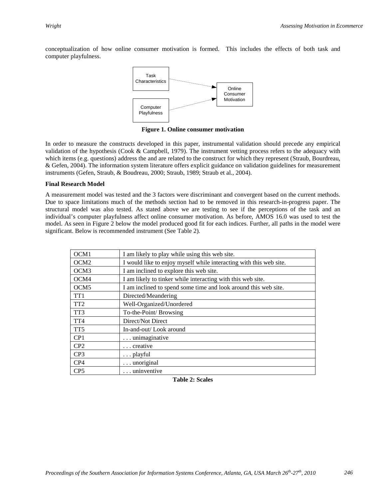conceptualization of how online consumer motivation is formed. This includes the effects of both task and computer playfulness.



**Figure 1. Online consumer motivation**

In order to measure the constructs developed in this paper, instrumental validation should precede any empirical validation of the hypothesis (Cook & Campbell, 1979). The instrument vetting process refers to the adequacy with which items (e.g. questions) address the and are related to the construct for which they represent (Straub, Bourdreau, & Gefen, 2004). The information system literature offers explicit guidance on validation guidelines for measurement instruments (Gefen, Straub, & Boudreau, 2000; Straub, 1989; Straub et al., 2004).

#### **Final Research Model**

A measurement model was tested and the 3 factors were discriminant and convergent based on the current methods. Due to space limitations much of the methods section had to be removed in this research-in-progress paper. The structural model was also tested. As stated above we are testing to see if the perceptions of the task and an individual's computer playfulness affect online consumer motivation. As before, AMOS 16.0 was used to test the model. As seen in Figure 2 below the model produced good fit for each indices. Further, all paths in the model were significant. Below is recommended instrument (See Table 2).

| OCM1             | I am likely to play while using this web site.                     |
|------------------|--------------------------------------------------------------------|
| OCM <sub>2</sub> | I would like to enjoy myself while interacting with this web site. |
| OCM <sub>3</sub> | I am inclined to explore this web site.                            |
| OCM4             | I am likely to tinker while interacting with this web site.        |
| OCM <sub>5</sub> | I am inclined to spend some time and look around this web site.    |
| TT <sub>1</sub>  | Directed/Meandering                                                |
| TT <sub>2</sub>  | Well-Organized/Unordered                                           |
| TT <sub>3</sub>  | To-the-Point/ Browsing                                             |
| TT <sub>4</sub>  | Direct/Not Direct                                                  |
| TT <sub>5</sub>  | In-and-out/Look around                                             |
| CP <sub>1</sub>  | unimaginative                                                      |
| CP <sub>2</sub>  | creative                                                           |
| CP <sub>3</sub>  | $\ldots$ playful                                                   |
| CP4              | $\ldots$ unoriginal                                                |
| CP <sub>5</sub>  | uninventive                                                        |

**Table 2: Scales**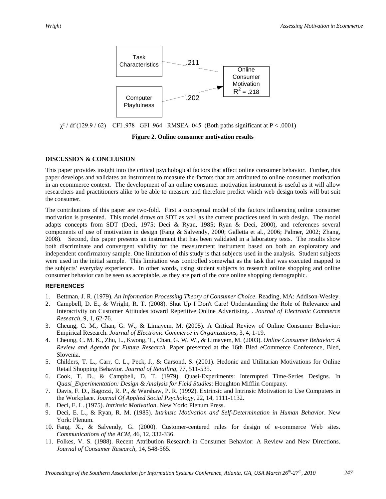

 $\chi^2$  / df (129.9 / 62) CFI .978 GFI .964 RMSEA .045 (Both paths significant at P < .0001)

**Figure 2. Online consumer motivation results**

#### **DISCUSSION & CONCLUSION**

This paper provides insight into the critical psychological factors that affect online consumer behavior. Further, this paper develops and validates an instrument to measure the factors that are attributed to online consumer motivation in an ecommerce context. The development of an online consumer motivation instrument is useful as it will allow researchers and practitioners alike to be able to measure and therefore predict which web design tools will but suit the consumer.

The contributions of this paper are two-fold. First a conceptual model of the factors influencing online consumer motivation is presented. This model draws on SDT as well as the current practices used in web design. The model adapts concepts from SDT (Deci, 1975; Deci & Ryan, 1985; Ryan & Deci, 2000), and references several components of use of motivation in design (Fang & Salvendy, 2000; Galletta et al., 2006; Palmer, 2002; Zhang, 2008). Second, this paper presents an instrument that has been validated in a laboratory tests. The results show both discriminate and convergent validity for the measurement instrument based on both an exploratory and independent confirmatory sample. One limitation of this study is that subjects used in the analysis. Student subjects were used in the initial sample. This limitation was controlled somewhat as the task that was executed mapped to the subjects' everyday experience. In other words, using student subjects to research online shopping and online consumer behavior can be seen as acceptable, as they are part of the core online shopping demographic.

#### **REFERENCES**

- 1. Bettman, J. R. (1979). *An Information Processing Theory of Consumer Choice*. Reading, MA: Addison-Wesley.
- 2. Campbell, D. E., & Wright, R. T. (2008). Shut Up I Don't Care! Understanding the Role of Relevance and Interactivity on Customer Attitudes toward Repetitive Online Advertising. . *Journal of Electronic Commerce Research,* 9, 1, 62-76.
- 3. Cheung, C. M., Chan, G. W., & Limayem, M. (2005). A Critical Review of Online Consumer Behavior: Empirical Research. *Journal of Electronic Commerce in Organizations,* 3, 4, 1-19.
- 4. Cheung, C. M. K., Zhu, L., Kwong, T., Chan, G. W. W., & Limayem, M. (2003). *Online Consumer Behavior: A Review and Agenda for Future Research.* Paper presented at the 16th Bled eCommerce Conference, Bled, Slovenia.
- 5. Childers, T. L., Carr, C. L., Peck, J., & Carsond, S. (2001). Hedonic and Utilitarian Motivations for Online Retail Shopping Behavior. *Journal of Retailing,* 77, 511-535.
- 6. Cook, T. D., & Campbell, D. T. (1979). Quasi-Experiments: Interrupted Time-Series Designs. In *Quasi\_Experimentation: Design & Analysis for Field Studies*: Houghton Mifflin Company.
- 7. Davis, F. D., Bagozzi, R. P., & Warshaw, P. R. (1992). Extrinsic and Intrinsic Motivation to Use Computers in the Workplace. *Journal Of Applied Social Psychology,* 22, 14, 1111-1132.
- 8. Deci, E. L. (1975). *Intrinsic Motivation*. New York: Plenum Press.
- 9. Deci, E. L., & Ryan, R. M. (1985). *Intrinsic Motivation and Self-Determination in Human Behavior*. New York: Plenum.
- 10. Fang, X., & Salvendy, G. (2000). Customer-centered rules for design of e-commerce Web sites. *Communications of the ACM,* 46, 12, 332-336.
- 11. Folkes, V. S. (1988). Recent Attribution Research in Consumer Behavior: A Review and New Directions. *Journal of Consumer Research,* 14, 548-565.